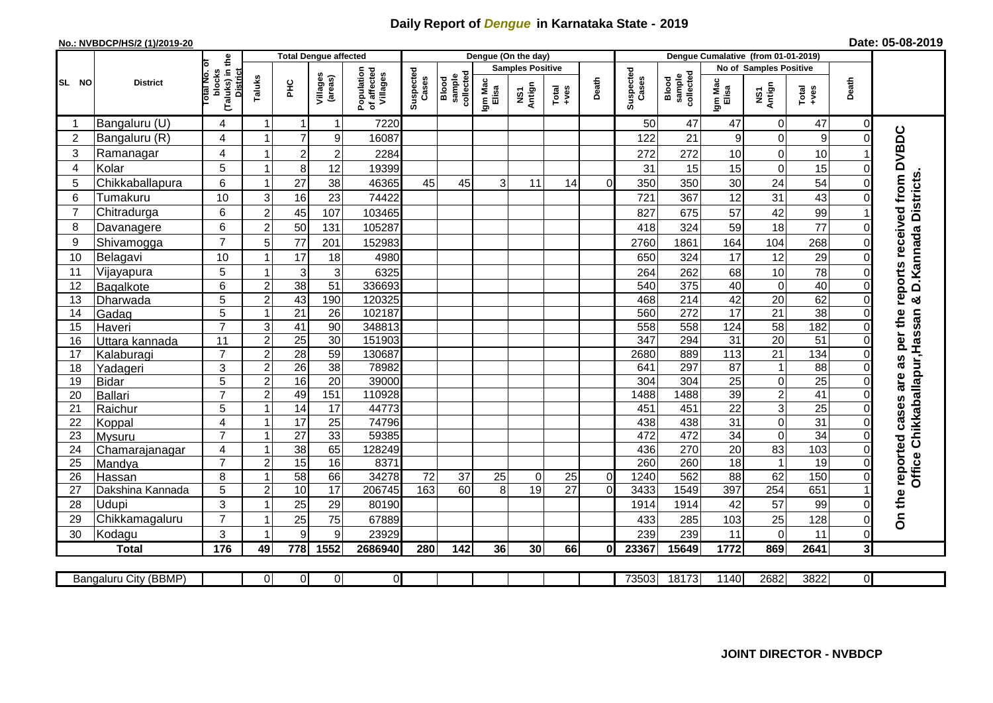## **Daily Report of** *Dengue* **in Karnataka State - 2019**

## **No.: NVBDCP/HS/2 (1)/2019-20**

|  | Date: 05-08-2019 |  |
|--|------------------|--|
|--|------------------|--|

|                |                       |                                                    |                         | <b>Total Dengue affected</b> |                     |                                       | Dengue (On the day) |                              |                  |                         |                       |                | Dengue Cumalative (from 01-01-2019) |                              |                  |                               |                  |                |                               |
|----------------|-----------------------|----------------------------------------------------|-------------------------|------------------------------|---------------------|---------------------------------------|---------------------|------------------------------|------------------|-------------------------|-----------------------|----------------|-------------------------------------|------------------------------|------------------|-------------------------------|------------------|----------------|-------------------------------|
|                |                       | ō                                                  |                         |                              |                     |                                       |                     |                              |                  | <b>Samples Positive</b> |                       |                |                                     |                              |                  | <b>No of Samples Positive</b> |                  |                |                               |
| <b>SL NO</b>   | <b>District</b>       | (Taluks) in the<br>District<br>Total No.<br>blocks | Taluks                  | <b>PHC</b>                   | Villages<br>(areas) | Population<br>of affected<br>Villages | Suspected<br>Cases  | sample<br>collected<br>Blood | Igm Mac<br>Elisa | NS1<br>Antign           | $Totael$              | Death          | Suspected<br>Cases                  | collected<br>sample<br>Blood | Igm Mac<br>Elisa | Antign<br>Σ                   | $Tota$<br>$+ves$ | Death          |                               |
|                | Bangaluru (U)         | 4                                                  | -1                      |                              | 1                   | 7220                                  |                     |                              |                  |                         |                       |                | 50                                  | 47                           | 47               | $\mathbf 0$                   | 47               | $\Omega$       |                               |
| $\overline{2}$ | Bangaluru (R)         | 4                                                  |                         | $\overline{7}$               | 9                   | 16087                                 |                     |                              |                  |                         |                       |                | 122                                 | 21                           | 9                | 0                             | 9                | $\Omega$       |                               |
| 3              | Ramanagar             | 4                                                  |                         | $\overline{2}$               | $\overline{c}$      | 2284                                  |                     |                              |                  |                         |                       |                | 272                                 | 272                          | 10               | $\mathbf 0$                   | 10               |                | reports received from DVBDC   |
| $\overline{4}$ | Kolar                 | 5                                                  | $\overline{\mathbf{A}}$ | 8                            | 12                  | 19399                                 |                     |                              |                  |                         |                       |                | 31                                  | 15                           | 15               | $\mathbf 0$                   | 15               | 0              |                               |
| 5              | Chikkaballapura       | 6                                                  |                         | 27                           | 38                  | 46365                                 | 45                  | 45                           | 3                | 11                      | 14                    | 0l             | 350                                 | 350                          | 30               | 24                            | 54               | 0              |                               |
| 6              | Tumakuru              | 10                                                 | 3                       | 16                           | 23                  | 74422                                 |                     |                              |                  |                         |                       |                | 721                                 | 367                          | 12               | 31                            | 43               | 0              |                               |
| $\overline{7}$ | Chitradurga           | 6                                                  | $\overline{2}$          | 45                           | 107                 | 103465                                |                     |                              |                  |                         |                       |                | 827                                 | 675                          | 57               | 42                            | 99               |                |                               |
| 8              | Davanagere            | 6                                                  | $\overline{c}$          | 50                           | 131                 | 105287                                |                     |                              |                  |                         |                       |                | 418                                 | 324                          | 59               | 18                            | 77               | $\Omega$       |                               |
| 9              | Shivamogga            | $\overline{7}$                                     | 5                       | 77                           | 201                 | 152983                                |                     |                              |                  |                         |                       |                | 2760                                | 1861                         | 164              | 104                           | 268              | 0              | D. Kannada Districts          |
| 10             | Belagavi              | 10                                                 | -1                      | 17                           | 18                  | 4980                                  |                     |                              |                  |                         |                       |                | 650                                 | 324                          | 17               | 12                            | 29               | $\Omega$       |                               |
| 11             | Vijayapura            | 5                                                  |                         | 3                            | $\mathbf{3}$        | 6325                                  |                     |                              |                  |                         |                       |                | 264                                 | 262                          | 68               | 10                            | 78               | 0              |                               |
| 12             | <b>Bagalkote</b>      | 6                                                  | $\overline{2}$          | $\overline{38}$              | $\overline{51}$     | 336693                                |                     |                              |                  |                         |                       |                | 540                                 | 375                          | 40               | $\overline{0}$                | 40               | $\Omega$       |                               |
| 13             | Dharwada              | 5                                                  | $\overline{2}$          | 43                           | 190                 | 120325                                |                     |                              |                  |                         |                       |                | 468                                 | 214                          | 42               | 20                            | 62               | $\Omega$       | ×                             |
| 14             | Gadag                 | $\overline{5}$                                     | $\overline{1}$          | $\overline{21}$              | $\overline{26}$     | 102187                                |                     |                              |                  |                         |                       |                | 560                                 | 272                          | 17               | 21                            | 38               | $\Omega$       |                               |
| 15             | Haveri                | $\overline{7}$                                     | 3                       | 41                           | 90                  | 348813                                |                     |                              |                  |                         |                       |                | 558                                 | 558                          | 124              | 58                            | 182              | 0              |                               |
| 16             | Uttara kannada        | 11                                                 | $\overline{2}$          | $\overline{25}$              | $\overline{30}$     | 151903                                |                     |                              |                  |                         |                       |                | 347                                 | 294                          | 31               | 20                            | 51               | $\Omega$       | as per the                    |
| 17             | Kalaburagi            | $\overline{7}$                                     | $\overline{2}$          | $\overline{28}$              | 59                  | 130687                                |                     |                              |                  |                         |                       |                | 2680                                | 889                          | 113              | 21                            | 134              | 0              |                               |
| 18             | Yadageri              | 3                                                  | $\overline{2}$          | 26                           | 38                  | 78982                                 |                     |                              |                  |                         |                       |                | 641                                 | 297                          | 87               | $\mathbf{1}$                  | 88               | $\Omega$       |                               |
| 19             | <b>Bidar</b>          | $\overline{5}$                                     | $\overline{2}$          | 16                           | $\overline{20}$     | 39000                                 |                     |                              |                  |                         |                       |                | 304                                 | 304                          | $\overline{25}$  | $\overline{0}$                | 25               | $\Omega$       | are                           |
| 20             | <b>Ballari</b>        | $\overline{7}$                                     | $\overline{c}$          | 49                           | 151                 | 110928                                |                     |                              |                  |                         |                       |                | 1488                                | 1488                         | 39               | $\overline{2}$                | 41               | 0              |                               |
| 21             | Raichur               | 5                                                  | $\overline{ }$          | $\overline{14}$              | $\overline{17}$     | 44773                                 |                     |                              |                  |                         |                       |                | 451                                 | 451                          | $\overline{22}$  | $\overline{3}$                | $\overline{25}$  | $\Omega$       | Office Chikkaballapur, Hassan |
| 22             | Koppal                | $\overline{\mathbf{4}}$                            | -1                      | $\overline{17}$              | 25                  | 74796                                 |                     |                              |                  |                         |                       |                | 438                                 | 438                          | 31               | $\mathbf 0$                   | 31               | $\Omega$       |                               |
| 23             | Mysuru                | $\overline{7}$                                     | $\overline{1}$          | $\overline{27}$              | 33                  | 59385                                 |                     |                              |                  |                         |                       |                | 472                                 | 472                          | $\overline{34}$  | $\overline{0}$                | 34               | $\Omega$       |                               |
| 24             | Chamarajanagar        | 4                                                  | $\overline{1}$          | 38                           | 65                  | 128249                                |                     |                              |                  |                         |                       |                | 436                                 | 270                          | $\overline{20}$  | 83                            | 103              | $\Omega$       |                               |
| 25             | Mandya                | $\overline{7}$                                     | $\overline{2}$          | 15                           | 16                  | 8371                                  |                     |                              |                  |                         |                       |                | 260                                 | 260                          | $\overline{18}$  | $\mathbf{1}$                  | 19               | $\overline{0}$ |                               |
| 26             | Hassan                | 8                                                  | $\overline{\mathbf{1}}$ | 58                           | 66                  | 34278                                 | 72                  | 37<br>60                     | 25               | $\Omega$                | 25<br>$\overline{27}$ | $\overline{0}$ | 1240                                | 562                          | 88               | 62                            | 150              | $\Omega$       |                               |
| 27             | Dakshina Kannada      | 5                                                  | $\overline{2}$          | 10                           | 17                  | 206745                                | 163                 |                              | 8                | 19                      |                       | $\Omega$       | 3433                                | 1549                         | 397              | 254                           | 651              |                |                               |
| 28             | Udupi                 | 3                                                  |                         | 25                           | 29                  | 80190                                 |                     |                              |                  |                         |                       |                | 1914                                | 1914                         | 42               | 57                            | 99               | $\Omega$       | On the reported cases         |
| 29             | Chikkamagaluru        | $\overline{7}$                                     |                         | 25                           | 75                  | 67889                                 |                     |                              |                  |                         |                       |                | 433                                 | 285                          | 103              | 25                            | 128              | 0              |                               |
| 30             | Kodagu                | 3                                                  |                         | 9                            | 9                   | 23929                                 |                     |                              |                  |                         |                       |                | 239                                 | 239                          | 11               | $\mathbf 0$                   | 11               | 0              |                               |
|                | <b>Total</b>          | $\frac{1}{176}$                                    | 49                      | 778                          | 1552                | 2686940                               | 280                 | 142                          | 36               | 30                      | 66                    | 01             | 23367                               | 15649                        | 1772             | 869                           | 2641             | 3 <sup>l</sup> |                               |
|                | Bangaluru City (BBMP) |                                                    | $\Omega$                | $\overline{0}$               | $\overline{0}$      | $\overline{0}$                        |                     |                              |                  |                         |                       |                | 73503                               | 18173                        | 1140             | 2682                          | 3822             | οI             |                               |